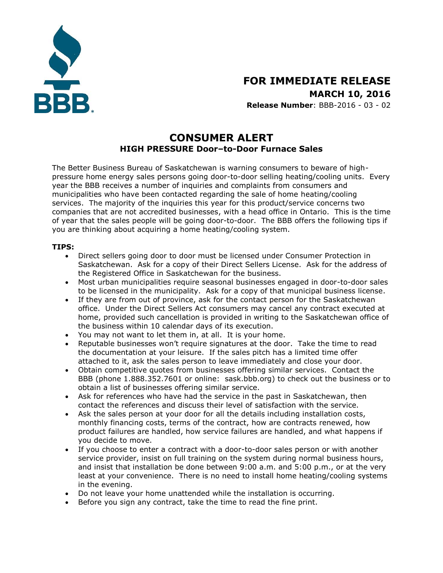

# **FOR IMMEDIATE RELEASE MARCH 10, 2016**

**Release Number**: BBB-2016 - 03 - 02

## **CONSUMER ALERT HIGH PRESSURE Door–to-Door Furnace Sales**

The Better Business Bureau of Saskatchewan is warning consumers to beware of highpressure home energy sales persons going door-to-door selling heating/cooling units. Every year the BBB receives a number of inquiries and complaints from consumers and municipalities who have been contacted regarding the sale of home heating/cooling services. The majority of the inquiries this year for this product/service concerns two companies that are not accredited businesses, with a head office in Ontario. This is the time of year that the sales people will be going door-to-door. The BBB offers the following tips if you are thinking about acquiring a home heating/cooling system.

### **TIPS:**

- Direct sellers going door to door must be licensed under Consumer Protection in Saskatchewan. Ask for a copy of their Direct Sellers License. Ask for the address of the Registered Office in Saskatchewan for the business.
- Most urban municipalities require seasonal businesses engaged in door-to-door sales to be licensed in the municipality. Ask for a copy of that municipal business license.
- If they are from out of province, ask for the contact person for the Saskatchewan office. Under the Direct Sellers Act consumers may cancel any contract executed at home, provided such cancellation is provided in writing to the Saskatchewan office of the business within 10 calendar days of its execution.
- You may not want to let them in, at all. It is your home.
- Reputable businesses won't require signatures at the door. Take the time to read the documentation at your leisure. If the sales pitch has a limited time offer attached to it, ask the sales person to leave immediately and close your door.
- Obtain competitive quotes from businesses offering similar services. Contact the BBB (phone 1.888.352.7601 or online: sask.bbb.org) to check out the business or to obtain a list of businesses offering similar service.
- Ask for references who have had the service in the past in Saskatchewan, then contact the references and discuss their level of satisfaction with the service.
- Ask the sales person at your door for all the details including installation costs, monthly financing costs, terms of the contract, how are contracts renewed, how product failures are handled, how service failures are handled, and what happens if you decide to move.
- If you choose to enter a contract with a door-to-door sales person or with another service provider, insist on full training on the system during normal business hours, and insist that installation be done between 9:00 a.m. and 5:00 p.m., or at the very least at your convenience. There is no need to install home heating/cooling systems in the evening.
- Do not leave your home unattended while the installation is occurring.
- Before you sign any contract, take the time to read the fine print.